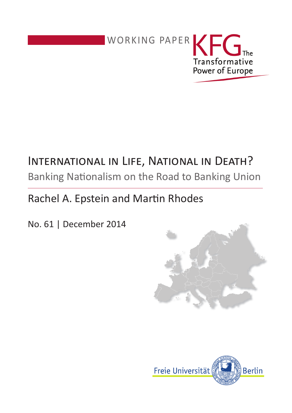

# INTERNATIONAL IN LIFE, NATIONAL IN DEATH?

Banking Nationalism on the Road to Banking Union

# Rachel A. Epstein and Martin Rhodes

No. 61 | December 2014



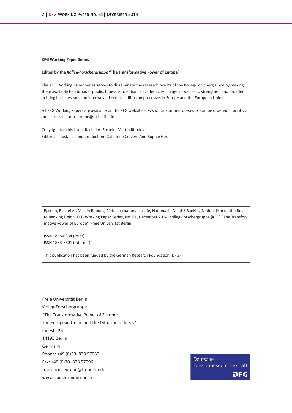#### **KFG Working Paper Series**

# **Edited by the** *Kolleg-Forschergruppe* **"The Transformative Power of Europe"**

The KFG Working Paper Series serves to disseminate the research results of the Kolleg-Forschergruppe by making them available to a broader public. It means to enhance academic exchange as well as to strengthen and broaden existing basic research on internal and external diffusion processes in Europe and the European Union.

All KFG Working Papers are available on the KFG website at www.transformeurope.eu or can be ordered in print via email to transform-europe@fu-berlin.de.

Copyright for this issue: Rachel A. Epstein, Martin Rhodes Editorial assistance and production: Catherine Craven, Ann-Sophie Gast

Epstein, Rachel A., Martin Rhodes, 214: International in Life, National in Death? Banking Nationalism on the Road to Banking Union, KFG Working Paper Series, No. 61, December 2014, Kolleg-Forschergruppe (KFG) "The Transformative Power of Europe", Freie Universität Berlin.

ISSN 1868-6834 (Print) ISSN 1868-7601 (Internet)

This publication has been funded by the German Research Foundation (DFG).

Freie Universität Berlin Kolleg-Forschergruppe "The Transformative Power of Europe: The European Union and the Diffusion of Ideas" Ihnestr. 26 14195 Berlin Germany Phone: +49 (0)30- 838 57033 Fax: +49 (0)30- 838 57096 transform-europe@fu-berlin.de www.transformeurope.eu

Deutsche Forschungsgemeinschaft **DFG**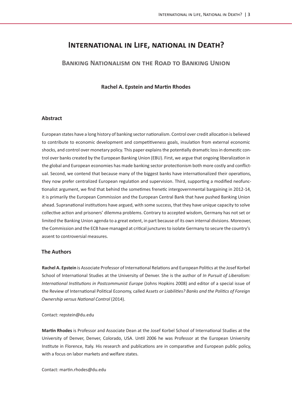# **International in Life, national in Death?**

# **Banking Nationalism on the Road to Banking Union**

# **Rachel A. Epstein and Martin Rhodes**

### **Abstract**

European states have a long history of banking sector nationalism. Control over credit allocation is believed to contribute to economic development and competitiveness goals, insulation from external economic shocks, and control over monetary policy. This paper explains the potentially dramatic loss in domestic control over banks created by the European Banking Union (EBU). First, we argue that ongoing liberalization in the global and European economies has made banking sector protectionism both more costly and conflictual. Second, we contend that because many of the biggest banks have internationalized their operations, they now prefer centralized European regulation and supervision. Third, supporting a modified neofunctionalist argument, we find that behind the sometimes frenetic intergovernmental bargaining in 2012-14, it is primarily the European Commission and the European Central Bank that have pushed Banking Union ahead. Supranational institutions have argued, with some success, that they have unique capacity to solve collective action and prisoners' dilemma problems. Contrary to accepted wisdom, Germany has not set or limited the Banking Union agenda to a great extent, in part because of its own internal divisions. Moreover, the Commission and the ECB have managed at critical junctures to isolate Germany to secure the country's assent to controversial measures.

# **The Authors**

**Rachel A. Epstein** is Associate Professor of International Relations and European Politics at the Josef Korbel School of International Studies at the University of Denver. She is the author of *In Pursuit of Liberalism: International Institutions in Postcommunist Europe* (Johns Hopkins 2008) and editor of a special issue of the Review of International Political Economy, called A*ssets or Liabilities? Banks and the Politics of Foreign Ownership versus National Control* (2014).

#### Contact: repstein@du.edu

**Martin Rhodes** is Professor and Associate Dean at the Josef Korbel School of International Studies at the University of Denver, Denver, Colorado, USA. Until 2006 he was Professor at the European University Institute in Florence, Italy. His research and publications are in comparative and European public policy, with a focus on labor markets and welfare states.

Contact: martin.rhodes@du.edu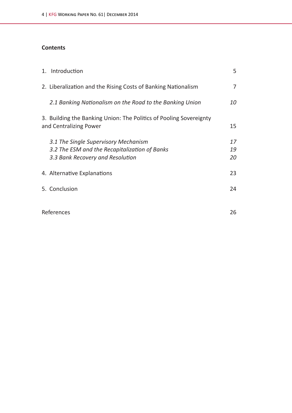# **Contents**

| 1. Introduction                                                                                                           | 5              |
|---------------------------------------------------------------------------------------------------------------------------|----------------|
| 2. Liberalization and the Rising Costs of Banking Nationalism                                                             | 7              |
| 2.1 Banking Nationalism on the Road to the Banking Union                                                                  | 10             |
| 3. Building the Banking Union: The Politics of Pooling Sovereignty<br>and Centralizing Power                              | 15             |
| 3.1 The Single Supervisory Mechanism<br>3.2 The ESM and the Recapitalization of Banks<br>3.3 Bank Recovery and Resolution | 17<br>19<br>20 |
| 4. Alternative Explanations                                                                                               | 23             |
| 5. Conclusion                                                                                                             | 24             |
| References                                                                                                                | 26             |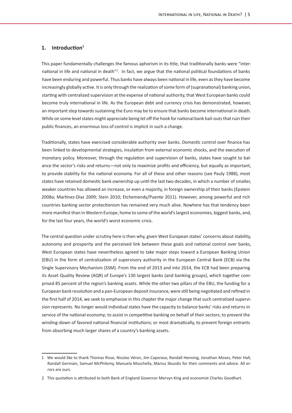# **1. Introduction<sup>1</sup>**

This paper fundamentally challenges the famous aphorism in its title, that traditionally banks were "international in life and national in death"<sup>2</sup>. In fact, we argue that the national political foundations of banks have been enduring and powerful. Thus banks have always been national in life, even as they have become increasingly globally active. It is only through the realization of some form of (supranational) banking union, starting with centralized supervision at the expense of national authority, that West European banks could become truly international in life. As the European debt and currency crisis has demonstrated, however, an important step towards sustaining the Euro may be to ensure that banks become international in death. While on some level states might appreciate being let off the hook for national bank bail-outs that ruin their public finances, an enormous loss of control is implicit in such a change.

Traditionally, states have exercised considerable authority over banks. Domestic control over finance has been linked to developmental strategies, insulation from external economic shocks, and the execution of monetary policy. Moreover, through the regulation and supervision of banks, states have sought to balance the sector's risks and returns—not only to maximize profits and efficiency, but equally as important, to provide stability for the national economy. For all of these and other reasons (see Pauly 1988), most states have retained domestic bank ownership up until the last two decades, in which a number of smaller, weaker countries has allowed an increase, or even a majority, in foreign ownership of their banks (Epstein 2008a; Martinez-Diaz 2009; Stein 2010; Etchemendy/Puente 2011). However, among powerful and rich countries banking sector protectionism has remained very much alive. Nowhere has that tendency been more manifest than in Western Europe, home to some of the world's largest economies, biggest banks, and, for the last four years, the world's worst economic crisis.

The central question under scrutiny here is then why, given West European states' concerns about stability, autonomy and prosperity and the perceived link between these goals and national control over banks, West European states have nevertheless agreed to take major steps toward a European Banking Union (EBU) in the form of centralization of supervisory authority in the European Central Bank (ECB) via the Single Supervisory Mechanism (SSM). From the end of 2013 and into 2014, the ECB had been preparing its Asset Quality Review (AQR) of Europe's 130 largest banks (and banking groups), which together comprised 85 percent of the region's banking assets. While the other two pillars of the EBU, the funding for a European bank resolution and a pan-European deposit insurance, were still being negotiated and refined in the first half of 2014, we seek to emphasize in this chapter the major change that such centralized supervision represents. No longer would individual states have the capacity to balance banks' risks and returns in service of the national economy; to assist in competitive banking on behalf of their sectors; to prevent the winding-down of favored national financial institutions; or most dramatically, to prevent foreign entrants from absorbing much larger shares of a country's banking assets.

<sup>1</sup> We would like to thank Thomas Risse, Nicolas Véron, Jim Caporaso, Randall Henning, Jonathan Moses, Peter Hall, Randall Germain, Samuel McPhilemy, Manuela Moschella, Marius Skuodis for their comments and advice. All errors are ours.

<sup>2</sup> This quotation is attributed to both Bank of England Governor Mervyn King and economist Charles Goodhart.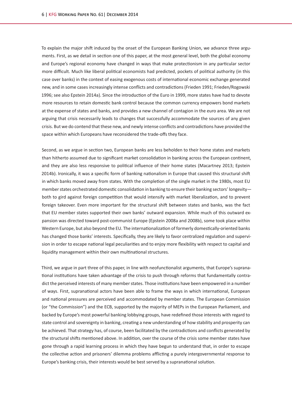To explain the major shift induced by the onset of the European Banking Union, we advance three arguments. First, as we detail in section one of this paper, at the most general level, both the global economy and Europe's regional economy have changed in ways that make protectionism in any particular sector more difficult. Much like liberal political economists had predicted, pockets of political authority (in this case over banks) in the context of easing exogenous costs of international economic exchange generated new, and in some cases increasingly intense conflicts and contradictions (Frieden 1991; Frieden/Rogowski 1996; see also Epstein 2014a). Since the introduction of the Euro in 1999, more states have had to devote more resources to retain domestic bank control because the common currency empowers bond markets at the expense of states and banks, and provides a new channel of contagion in the euro area. We are not arguing that crisis necessarily leads to changes that successfully accommodate the sources of any given crisis. But we do contend that these new, and newly intense conflicts and contradictions have provided the space within which Europeans have reconsidered the trade-offs they face.

Second, as we argue in section two, European banks are less beholden to their home states and markets than hitherto assumed due to significant market consolidation in banking across the European continent, and they are also less responsive to political influence of their home states (Macartney 2013; Epstein 2014b). Ironically, it was a specific form of banking nationalism in Europe that caused this structural shift in which banks moved away from states. With the completion of the single market in the 1980s, most EU member states orchestrated domestic consolidation in banking to ensure their banking sectors' longevity both to gird against foreign competition that would intensify with market liberalization, and to prevent foreign takeover. Even more important for the structural shift between states and banks, was the fact that EU member states supported their own banks' outward expansion. While much of this outward expansion was directed toward post-communist Europe (Epstein 2008a and 2008b), some took place within Western Europe, but also beyond the EU. The internationalization of formerly domestically-oriented banks has changed those banks' interests. Specifically, they are likely to favor centralized regulation and supervision in order to escape national legal peculiarities and to enjoy more flexibility with respect to capital and liquidity management within their own multinational structures.

Third, we argue in part three of this paper, in line with neofunctionalist arguments, that Europe's supranational institutions have taken advantage of the crisis to push through reforms that fundamentally contradict the perceived interests of many member states. Those institutions have been empowered in a number of ways. First, supranational actors have been able to frame the ways in which international, European and national pressures are perceived and accommodated by member states. The European Commission (or "the Commission") and the ECB, supported by the majority of MEPs in the European Parliament, and backed by Europe's most powerful banking lobbying groups, have redefined those interests with regard to state control and sovereignty in banking, creating a new understanding of how stability and prosperity can be achieved. That strategy has, of course, been facilitated by the contradictions and conflicts generated by the structural shifts mentioned above. In addition, over the course of the crisis some member states have gone through a rapid learning process in which they have begun to understand that, in order to escape the collective action and prisoners' dilemma problems afflicting a purely intergovernmental response to Europe's banking crisis, their interests would be best served by a supranational solution.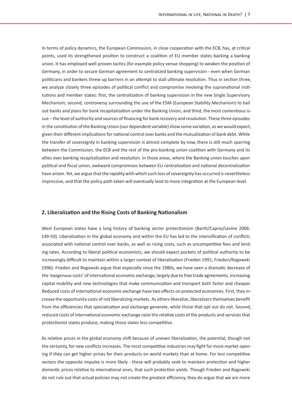In terms of policy dynamics, the European Commission, in close cooperation with the ECB, has, at critical points, used its strengthened position to construct a coalition of EU member states backing a banking union. It has employed well-proven tactics (for example policy venue shopping) to weaken the position of Germany, in order to secure German agreement to centralized banking supervision - even when German politicians and bankers threw up barriers in an attempt to stall ultimate resolution. Thus in section three, we analyze closely three episodes of political conflict and compromise involving the supranational institutions and member states: first, the centralization of banking supervision in the new Single Supervisory Mechanism; second, controversy surrounding the use of the ESM (European Stability Mechanism) to bail out banks and plans for bank recapitalization under the Banking Union; and third, the most contentious issue – the level of authority and sources of financing for bank recovery and resolution. These three episodes in the constitution of the Banking Union (our dependent variable) show some variation, as we would expect, given their different implications for national control over banks and the mutualization of bank debt. While the transfer of sovereignty in banking supervision is almost complete by now, there is still much sparring between the Commission, the ECB and the rest of the pro-banking union coalition with Germany and its allies over banking recapitalization and resolution. In those areas, where the Banking union touches upon political and fiscal union, awkward compromises between EU centralization and national decentralization have arisen. Yet, we argue that the rapidity with which such loss of sovereignty has occurred is nevertheless impressive, and that the policy path taken will eventually lead to more integration at the European level.

# **2. Liberalization and the Rising Costs of Banking Nationalism**

West European states have a long history of banking sector protectionism (Barth/Caprio/Levine 2006: 149-50). Liberalization in the global economy and within the EU has led to the intensification of conflicts associated with national control over banks, as well as rising costs, such as uncompetitive fees and lending rates. According to liberal political economists, we should expect pockets of political authority to be increasingly difficult to maintain within a larger context of liberalization (Frieden 1991; Frieden/Rogowski 1996). Frieden and Rogowski argue that especially since the 1980s, we have seen a dramatic decrease of the 'exogenous costs' of international economic exchange, largely due to free trade agreements, increasing capital mobility and new technologies that make communication and transport both faster and cheaper. Reduced costs of international economic exchange have two effects on protected economies. First, they increase the opportunity costs of not liberalizing markets. As others liberalize, liberalizers themselves benefit from the efficiencies that specialization and exchange generate, while those that opt out do not. Second, reduced costs of international economic exchange raise the relative costs of the products and services that protectionist states produce, making those states less competitive.

As relative prices in the global economy shift because of uneven liberalization, the potential, though not the certainty, for new conflicts increases. The most competitive industries may fight for more market opening if they can get higher prices for their products on world markets than at home. For less competitive sectors the opposite impulse is more likely - these will probably seek to maintain protection and higher domestic prices relative to international ones, that such protection yields. Though Frieden and Rogowski do not rule out that actual policies may not create the greatest efficiency, they do argue that we are more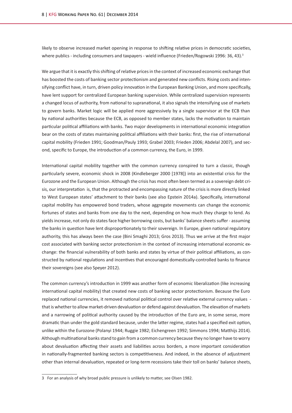likely to observe increased market opening in response to shifting relative prices in democratic societies, where publics - including consumers and taxpayers - wield influence (Frieden/Rogowski 1996: 36, 43).<sup>3</sup>

We argue that it is exactly this shifting of relative prices in the context of increased economic exchange that has boosted the costs of banking sector protectionism and generated new conflicts. Rising costs and intensifying conflict have, in turn, driven policy innovation in the European Banking Union, and more specifically, have lent support for centralized European banking supervision. While centralized supervision represents a changed locus of authority, from national to supranational, it also signals the intensifying use of markets to govern banks. Market logic will be applied more aggressively by a single supervisor at the ECB than by national authorities because the ECB, as opposed to member states, lacks the motivation to maintain particular political affiliations with banks. Two major developments in international economic integration bear on the costs of states maintaining political affiliations with their banks: first, the rise of international capital mobility (Frieden 1991; Goodman/Pauly 1993; Grabel 2003; Frieden 2006; Abdelal 2007), and second, specific to Europe, the introduction of a common currency, the Euro, in 1999.

International capital mobility together with the common currency conspired to turn a classic, though particularly severe, economic shock in 2008 (Kindleberger 2000 [1978]) into an existential crisis for the Eurozone and the European Union. Although the crisis has most often been termed as a sovereign debt crisis, our interpretation is, that the protracted and encompassing nature of the crisis is more directly linked to West European states' attachment to their banks (see also Epstein 2014a). Specifically, international capital mobility has empowered bond traders, whose aggregate movements can change the economic fortunes of states and banks from one day to the next, depending on how much they charge to lend. As yields increase, not only do states face higher borrowing costs, but banks' balance sheets suffer - assuming the banks in question have lent disproportionately to their sovereign. In Europe, given national regulatory authority, this has always been the case (Bini Smaghi 2013; Gros 2013). Thus we arrive at the first major cost associated with banking sector protectionism in the context of increasing international economic exchange: the financial vulnerability of both banks and states by virtue of their political affiliations, as constructed by national regulations and incentives that encouraged domestically-controlled banks to finance their sovereigns (see also Speyer 2012).

The common currency's introduction in 1999 was another form of economic liberalization (like increasing international capital mobility) that created new costs of banking sector protectionism. Because the Euro replaced national currencies, it removed national political control over relative external currency values that is whether to allow market-driven devaluation or defend against devaluation. The elevation of markets and a narrowing of political authority caused by the introduction of the Euro are, in some sense, more dramatic than under the gold standard because, under the latter regime, states had a specified exit option, unlike within the Eurozone (Polanyi 1944; Ruggie 1982; Eichengreen 1992; Simmons 1994; Matthijs 2014). Although multinational banks stand to gain from a common currency because they no longer have to worry about devaluation affecting their assets and liabilities across borders, a more important consideration in nationally-fragmented banking sectors is competitiveness. And indeed, in the absence of adjustment other than internal devaluation, repeated or long-term recessions take their toll on banks' balance sheets,

<sup>3</sup> For an analysis of why broad public pressure is unlikely to matter, see Olsen 1982.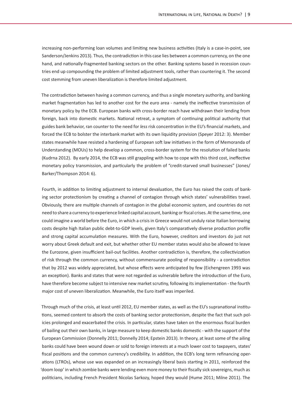increasing non-performing loan volumes and limiting new business activities (Italy is a case-in-point, see Sanderson/Jenkins 2013). Thus, the contradiction in this case lies between a common currency, on the one hand, and nationally-fragmented banking sectors on the other. Banking systems based in recession countries end up compounding the problem of limited adjustment tools, rather than countering it. The second cost stemming from uneven liberalization is therefore limited adjustment.

The contradiction between having a common currency, and thus a single monetary authority, and banking market fragmentation has led to another cost for the euro area - namely the ineffective transmission of monetary policy by the ECB. European banks with cross-border reach have withdrawn their lending from foreign, back into domestic markets. National retreat, a symptom of continuing political authority that guides bank behavior, ran counter to the need for *less* risk concentration in the EU's financial markets, and forced the ECB to bolster the interbank market with its own liquidity provision (Speyer 2012: 3). Member states meanwhile have resisted a hardening of European soft law initiatives in the form of Memoranda of Understanding (MOUs) to help develop a common, cross-border system for the resolution of failed banks (Kudrna 2012). By early 2014, the ECB was still grappling with how to cope with this third cost, ineffective monetary policy transmission, and particularly the problem of "credit-starved small businesses" (Jones/ Barker/Thompson 2014: 6).

Fourth, in addition to limiting adjustment to internal devaluation, the Euro has raised the costs of banking sector protectionism by creating a channel of contagion through which states' vulnerabilities travel. Obviously, there are multiple channels of contagion in the global economic system, and countries do not need to share a currency to experience linked capital account, banking or fiscal crises. At the same time, one could imagine a world before the Euro, in which a crisis in Greece would not unduly raise Italian borrowing costs despite high Italian public debt-to-GDP levels, given Italy's comparatively diverse production profile and strong capital accumulation measures. With the Euro, however, creditors and investors do just not worry about Greek default and exit, but whether other EU member states would also be allowed to leave the Eurozone, given insufficient bail-out facilities. Another contradiction is, therefore, the collectivization of risk through the common currency, without commensurate pooling of responsibility - a contradiction that by 2012 was widely appreciated, but whose effects were anticipated by few (Eichengreen 1993 was an exception). Banks and states that were not regarded as vulnerable before the introduction of the Euro, have therefore become subject to intensive new market scrutiny, following its implementation - the fourth major cost of uneven liberalization. Meanwhile, the Euro itself was imperiled.

Through much of the crisis, at least until 2012, EU member states, as well as the EU's supranational institutions, seemed content to absorb the costs of banking sector protectionism, despite the fact that such policies prolonged and exacerbated the crisis. In particular, states have taken on the enormous fiscal burden of bailing out their own banks, in large measure to keep domestic banks domestic - with the support of the European Commission (Donnelly 2011; Donnelly 2014; Epstein 2013). In theory, at least some of the ailing banks could have been wound down or sold to foreign interests at a much lower cost to taxpayers, states' fiscal positions and the common currency's credibility. In addition, the ECB's long term refinancing operations (LTROs), whose use was expanded on an increasingly liberal basis starting in 2011, reinforced the 'doom loop' in which zombie banks were lending even more money to their fiscally sick sovereigns, much as politicians, including French President Nicolas Sarkozy, hoped they would (Hume 2011; Milne 2011). The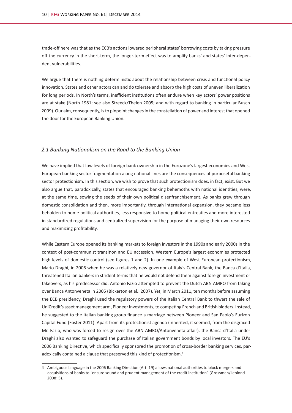trade-off here was that as the ECB's actions lowered peripheral states' borrowing costs by taking pressure off the currency in the short-term, the longer-term effect was to amplify banks' and states' inter-dependent vulnerabilities.

We argue that there is nothing deterministic about the relationship between crisis and functional policy innovation. States and other actors can and do tolerate and absorb the high costs of uneven liberalization for long periods. In North's terms, inefficient institutions often endure when key actors' power positions are at stake (North 1981; see also Streeck/Thelen 2005; and with regard to banking in particular Busch 2009). Our aim, consequently, is to pinpoint changes in the constellation of power and interest that opened the door for the European Banking Union.

# *2.1 Banking Nationalism on the Road to the Banking Union*

We have implied that low levels of foreign bank ownership in the Eurozone's largest economies and West European banking sector fragmentation along national lines are the consequences of purposeful banking sector protectionism. In this section, we wish to prove that such protectionism does, in fact, exist. But we also argue that, paradoxically, states that encouraged banking behemoths with national identities, were, at the same time, sowing the seeds of their own political disenfranchisement. As banks grew through domestic consolidation and then, more importantly, through international expansion, they became less beholden to home political authorities, less responsive to home political entreaties and more interested in standardized regulations and centralized supervision for the purpose of managing their own resources and maximizing profitability.

While Eastern Europe opened its banking markets to foreign investors in the 1990s and early 2000s in the context of post-communist transition and EU accession, Western Europe's largest economies protected high levels of domestic control (see figures 1 and 2). In one example of West European protectionism, Mario Draghi, in 2006 when he was a relatively new governor of Italy's Central Bank, the Banca d'Italia, threatened Italian bankers in strident terms that he would not defend them against foreign investment or takeovers, as his predecessor did. Antonio Fazio attempted to prevent the Dutch ABN AMRO from taking over Banca Antonveneta in 2005 (Bickerton et al.: 2007). Yet, in March 2011, ten months before assuming the ECB presidency, Draghi used the regulatory powers of the Italian Central Bank to thwart the sale of UniCredit's asset management arm, Pioneer Investments, to competing French and British bidders. Instead, he suggested to the Italian banking group finance a marriage between Pioneer and San Paolo's Eurizon Capital Fund (Foster 2011). Apart from its protectionist agenda (inherited, it seemed, from the disgraced Mr. Fazio, who was forced to resign over the ABN AMRO/Antonveneta affair), the Banca d'Italia under Draghi also wanted to safeguard the purchase of Italian government bonds by local investors. The EU's 2006 Banking Directive, which specifically sponsored the promotion of cross-border banking services, paradoxically contained a clause that preserved this kind of protectionism.<sup>4</sup>

<sup>4</sup> Ambiguous language in the 2006 Banking Direction (Art. 19) allows national authorities to block mergers and acquisitions of banks to "ensure sound and prudent management of the credit institution" (Grossman/Leblond 2008: 5).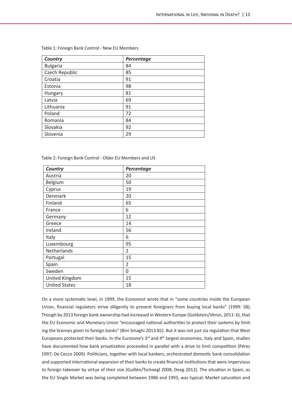| Country         | Percentage |
|-----------------|------------|
| <b>Bulgaria</b> | 84         |
| Czech Republic  | 85         |
| Croatia         | 91         |
| Estonia         | 98         |
| Hungary         | 81         |
| Latvia          | 69         |
| Lithuania       | 91         |
| Poland          | 72         |
| Romania         | 84         |
| Slovakia        | 92         |
| Slovenia        | 29         |

Table 1: Foreign Bank Control - New EU Members

Table 2: Foreign Bank Control - Older EU Members and US

| <b>Country</b>       | Percentage     |
|----------------------|----------------|
| Austria              | 20             |
| Belgium              | 50             |
| Cyprus               | 19             |
| Denmark              | 20             |
| Finland              | 65             |
| France               | 6              |
| Germany              | 12             |
| Greece               | 14             |
| Ireland              | 56             |
| Italy                | 6              |
| Luxembourg           | 95             |
| Netherlands          | $\overline{2}$ |
| Portugal             | 15             |
| Spain                | $\overline{2}$ |
| Sweden               | 0              |
| United Kingdom       | 15             |
| <b>United States</b> | 18             |

On a more systematic level, in 1999, the *Economist* wrote that in "some countries inside the European Union, financial regulators strive diligently to prevent foreigners from buying local banks" (1999: 58). Though by 2013 foreign bank ownership had increased in Western Europe (Goldstein/Véron, 2011: 6), that the EU Economic and Monetary Union "encouraged national authorities to protect their systems by limiting the licenses given to foreign banks" (Bini Smaghi 2013:82). But it was not just via regulation that West Europeans protected their banks. In the Eurozone's  $3<sup>rd</sup>$  and  $4<sup>th</sup>$  largest economies, Italy and Spain, studies have documented how bank privatization proceeded in parallel with a drive to limit competition (Pérez 1997; De Cecco 2009). Politicians, together with local bankers, orchestrated domestic bank consolidation and supported international expansion of their banks to create financial institutions that were impervious to foreign takeover by virtue of their size (Guillén/Tschoegl 2008; Deeg 2012). The situation in Spain, as the EU Single Market was being completed between 1986 and 1993, was typical: Market saturation and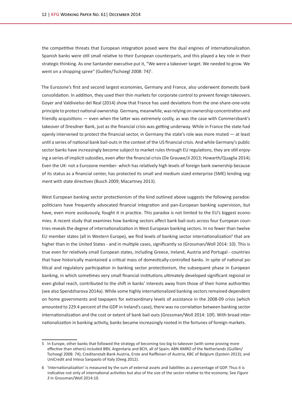the competitive threats that European integration posed were the dual engines of internationalization. Spanish banks were still small relative to their European counterparts, and this played a key role in their strategic thinking. As one Santander executive put it, "We were a takeover target. We needed to grow. We went on a shopping spree" (Guillén/Tschoegl 2008: 74)<sup>5</sup>.

The Eurozone's first and second largest economies, Germany and France, also underwent domestic bank consolidation. In addition, they used their thin markets for corporate control to prevent foreign takeovers. Goyer and Valdivielso del Real (2014) show that France has used deviations from the one-share-one-vote principle to protect national ownership. Germany, meanwhile, was relying on ownership concentration and friendly acquisitions — even when the latter was extremely costly, as was the case with Commerzbank's takeover of Dresdner Bank, just as the financial crisis was getting underway. While in France the state had openly intervened to protect the financial sector, in Germany the state's role was more muted — at least until a series of national bank bail-outs in the context of the US financial crisis. And while Germany's public sector banks have increasingly become subject to market rules through EU regulations, they are still enjoying a series of implicit subsidies, even after the financial crisis (De Grauwe/Ji 2013; Howarth/Quaglia 2014). Even the UK- not a Eurozone member- which has relatively high levels of foreign bank ownership because of its status as a financial center, has protected its small and medium sized enterprise (SME) lending segment with state directives (Busch 2009; Macartney 2013).

West European banking sector protectionism of the kind outlined above suggests the following paradox: politicians have frequently advocated financial integration and pan-European banking supervision, but have, even more assiduously, fought it in practice. This paradox is not limited to the EU's biggest economies. A recent study that examines how banking sectors affect bank bail-outs across four European countries reveals the degree of internationalization in West European banking sectors. In no fewer than twelve EU member states (all in Western Europe), we find levels of banking sector internationalization<sup>6</sup> that are higher than in the United States - and in multiple cases, significantly so (Grossman/Woll 2014: 10). This is true even for relatively small European states, including Greece, Ireland, Austria and Portugal - countries that have historically maintained a critical mass of domestically-controlled banks. In spite of national political and regulatory participation in banking sector protectionism, the subsequent phase in European banking, in which sometimes very small financial institutions ultimately developed significant regional or even global reach, contributed to the shift in banks' interests away from those of their home authorities (see also Spendzharova 2014a). While some highly internationalized banking sectors remained dependent on home governments and taxpayers for extraordinary levels of assistance in the 2008-09 crisis (which amounted to 229.4 percent of the GDP in Ireland's case), there was no correlation between banking sector internationalization and the cost or extent of bank bail-outs (Grossman/Woll 2014: 10f). With broad internationalization in banking activity, banks became increasingly rooted in the fortunes of foreign markets.

<sup>5</sup> In Europe, other banks that followed the strategy of becoming too big to takeover (with some proving more effective than others) included BBV, Argentaria and BCH, all of Spain; ABN AMRO of the Netherlands (Guillén/ Tschoegl 2008: 74); Creditanstalt-Bank Austria, Erste and Raiffeisen of Austria, KBC of Belgium (Epstein 2013); and UniCredit and Intesa Sanpaolo of Italy (Deeg 2012).

<sup>6</sup> 'Internationalization' is measured by the sum of external assets and liabilities as a percentage of GDP. Thus it is indicative not only of international activities but also of the size of the sector relative to the economy. See *Figure 3* in Grossman/Woll 2014:10.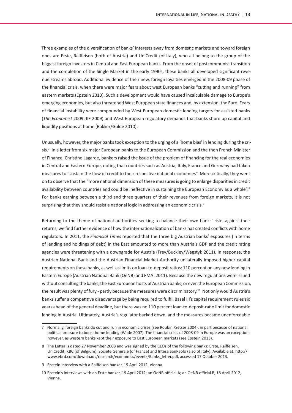Three examples of the diversification of banks' interests away from domestic markets and toward foreign ones are Erste, Raiffeisen (both of Austria) and UniCredit (of Italy), who all belong to the group of the biggest foreign investors in Central and East European banks. From the onset of postcommunist transition and the completion of the Single Market in the early 1990s, these banks all developed significant revenue streams abroad. Additional evidence of their new, foreign loyalties emerged in the 2008-09 phase of the financial crisis, when there were major fears about west European banks "cutting and running" from eastern markets (Epstein 2013). Such a development would have caused incalculable damage to Europe's emerging economies, but also threatened West European state finances and, by extension, the Euro. Fears of financial instability were compounded by West European domestic lending targets for assisted banks (*The Economist* 2009; IIF 2009) and West European regulatory demands that banks shore up capital and liquidity positions at home (Bakker/Gulde 2010).

Unusually, however, the major banks took exception to the urging of a 'home bias' in lending during the crisis.7 In a letter from six major European banks to the European Commission and the then French Minister of Finance, Christine Lagarde, bankers raised the issue of the problem of financing for the real economies in Central and Eastern Europe, noting that countries such as Austria, Italy, France and Germany had taken measures to "sustain the flow of credit to their respective national economies". More critically, they went on to observe that the "more national dimension of these measures is going to enlarge disparities in credit availability between countries and could be ineffective in sustaining the European Economy as a whole".<sup>8</sup> For banks earning between a third and three quarters of their revenues from foreign markets, it is not surprising that they should resist a national logic in addressing an economic crisis.<sup>9</sup>

Returning to the theme of national authorities seeking to balance their own banks' risks against their returns, we find further evidence of how the internationalization of banks has created conflicts with home regulators. In 2011, the *Financial Times* reported that the three big Austrian banks' exposures (in terms of lending and holdings of debt) in the East amounted to more than Austria's GDP and the credit rating agencies were threatening with a downgrade for Austria (Frey/Buckley/Wagstyl: 2011). In response, the Austrian National Bank and the Austrian Financial Market Authority unilaterally imposed higher capital requirements on these banks, as well as limits on loan-to-deposit ratios: 110 percent on any new lending in Eastern Europe (Austrian National Bank (OeNB) and FMA: 2011). Because the new regulations were issued without consulting the banks, the East European hosts of Austrian banks, or even the European Commission, the result was plenty of fury - partly because the measures were discriminatory.<sup>10</sup> Not only would Austria's banks suffer a competitive disadvantage by being required to fulfill Basel III's capital requirement rules six years ahead of the general deadline, but there was no 110 percent loan-to-deposit-ratio limit for domestic lending in Austria. Ultimately, Austria's regulator backed down, and the measures became unenforceable

<sup>7</sup> Normally, foreign banks do cut and run in economic crises (see Roubini/Setser 2004), in part because of national political pressure to boost home lending (Wade 2007). The financial crisis of 2008-09 in Europe was an exception; however, as western banks kept their exposure to East European markets (see Epstein 2013).

<sup>8</sup> The Letter is dated 27 November 2008 and was signed by the CEOs of the following banks: Erste, Raiffeisen, UniCredit, KBC (of Belgium), Societe Generale (of France) and Intesa SanPaolo (also of Italy). Available at: http:// www.ebrd.com/downloads/research/economics/events/Banks\_letter.pdf, accessed 17 October 2013.

<sup>9</sup> Epstein interview with a Raiffeisen banker, 19 April 2012, Vienna.

<sup>10</sup> Epstein's interviews with an Erste banker, 19 April 2012; an OeNB official A; an OeNB official B, 18 April 2012, Vienna.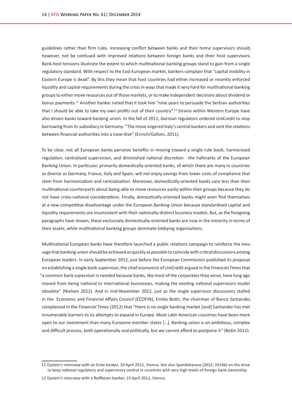guidelines rather than firm rules. Increasing conflict between banks and their home supervisors should, however, not be confused with improved relations between foreign banks and their host supervisors. Bank-host tensions illustrate the extent to which multinational banking groups stand to gain from a single regulatory standard. With respect to the East European market, bankers complain that "capital mobility in Eastern Europe is dead". By this they mean that host countries had either increased or recently enforced liquidity and capital requirements during the crisis in ways that made it very hard for multinational banking groups to either move resources out of those markets, or to make independent decisions about dividend or bonus payments.11 Another banker noted that it took him "nine years to persuade the Serbian authorities that I should be able to take my own profits out of their country".<sup>12</sup> Strains within Western Europe have also driven banks toward banking union. In the fall of 2011, German regulators ordered UniCredit to stop borrowing from its subsidiary in Germany: "The move angered Italy's central bankers and sent the relations between financial authorities into a nose dive" (Enrich/Galloni, 2011).

To be clear, not all European banks perceive benefits in moving toward a single rule book, harmonized regulation, centralized supervision, and diminished national discretion - the hallmarks of the European Banking Union. In particular, primarily domestically-oriented banks, of which there are many in countries as diverse as Germany, France, Italy and Spain, will not enjoy savings from lower costs of compliance that stem from harmonization and centralization. Moreover, domestically-oriented banks care less than their multinational counterparts about being able to move resources easily within their groups because they do not have cross-national considerations. Finally, domestically-oriented banks might even find themselves at a new competitive disadvantage under the European Banking Union because standardized capital and liquidity requirements are inconsistent with their nationally-distinct business models. But, as the foregoing paragraphs have shown, these exclusively domestically-oriented banks are now in the minority in terms of their assets, while multinational banking groups dominate lobbying organizations.

Multinational European banks have therefore launched a public relations campaign to reinforce the message that banking union should be achieved as quickly as possible to coincide with critical discussions among European leaders. In early September 2012, just before the European Commission published its proposal on establishing a single bank supervisor, the chief economist of UniCredit argued in the *Financial Times* that "a common bank supervisor is needed because banks, like most of the corporates they serve, have long ago moved from being national to international businesses, making the existing national supervisors model obsolete" (Nielsen 2012). And in mid-November 2012, just as the single supervisor discussions stalled in the Economic and Financial Affairs Council (ECOFIN), Emilio Botin, the chairman of Banco Santander, complained in the *Financial Times* (2012) that "there is no single banking market [and] Santander has met innumerable barriers to its attempts to expand in Europe. Most Latin American countries have been more open to our investment than many Eurozone member states […]. Banking union is an ambitious, complex and difficult process, both operationally and politically, but we cannot afford to postpone it" (Botin 2012).

<sup>11</sup> Epstein's interview with an Erste banker, 19 April 2012, Vienna. See also Spendzharova (2012; 2014b) on the drive to keep national regulatory and supervisory control in countries with very high levels of foreign bank ownership.

<sup>12</sup> Epstein's interview with a Raiffeisen banker, 19 April 2012, Vienna.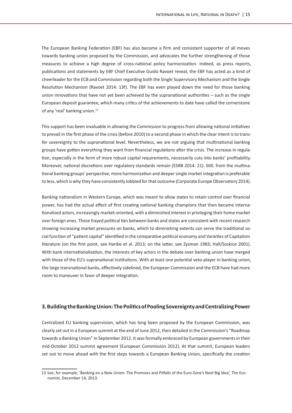The European Banking Federation (EBF) has also become a firm and consistent supporter of all moves towards banking union proposed by the Commission, and advocates the further strengthening of those measures to achieve a high degree of cross-national policy harmonization. Indeed, as press reports, publications and statements by EBF Chief Executive Guido Ravoet reveal, the EBF has acted as a kind of cheerleader for the ECB and Commission regarding both the Single Supervisory Mechanism and the Single Resolution Mechanism (Ravoet 2014: 13f). The EBF has even played down the need for those banking union innovations that have not yet been achieved by the supranational authorities – such as the single European deposit guarantee, which many critics of the achievements to date have called the cornerstone of any 'real' banking union.<sup>13</sup>

This support has been invaluable in allowing the Commission to progress from allowing national initiatives to prevail in the first phase of the crisis (before 2010) to a second phase in which the clear intent is to transfer sovereignty to the supranational level. Nevertheless, we are not arguing that multinational banking groups have gotten everything they want from financial regulations after the crisis. The increase in regulation, especially in the form of more robust capital requirements, necessarily cuts into banks' profitability. Moreover, national discretions over regulatory standards remain (ESRB 2014: 21). Still, from the multinational banking groups' perspective, more harmonization and deeper single market integration is preferable to less, which is why they have consistently lobbied for that outcome (Corporate Europe Observatory 2014).

Banking nationalism in Western Europe, which was meant to allow states to retain control over financial power, has had the actual effect of first creating national banking champions that then became internationalized actors, increasingly market-oriented, with a diminished interest in privileging their home market over foreign ones. These frayed political ties between banks and states are consistent with recent research showing increasing market pressures on banks, which to diminishing extents can serve the traditional social function of "patient capital" identified in the comparative political economy and Varieties of Capitalism literature (on the first point, see Hardie et al. 2013; on the latter, see Zysman 1983; Hall/Soskice 2001). With bank internationalization, the interests of key actors in the debate over banking union have merged with those of the EU's supranational institutions. With at least one potential veto-player in banking union, the large transnational banks, effectively sidelined, the European Commission and the ECB have had more room to maneuver in favor of deeper integration.

# **3. Building the Banking Union: The Politics of Pooling Sovereignty and Centralizing Power**

Centralized EU banking supervision, which has long been proposed by the European Commission, was clearly set out in a European summit at the end of June 2012, then detailed in the Commission's "Roadmap towards a Banking Union" in September 2012. It was formally embraced by European governments in their mid-October 2012 summit agreement (European Commission 2012). At that summit, European leaders set out to move ahead with the first steps towards a European Banking Union, specifically the creation

<sup>13</sup> See, for example, 'Banking on a New Union: The Promises and Pitfalls of the Euro Zone's Next Big Idea', The Economist, December 14, 2013.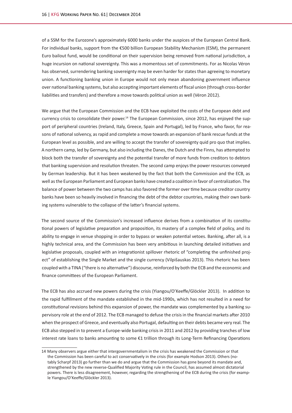of a SSM for the Eurozone's approximately 6000 banks under the auspices of the European Central Bank. For individual banks, support from the €500 billion European Stability Mechanism (ESM), the permanent Euro bailout fund, would be conditional on their supervision being removed from national jurisdiction, a huge incursion on national sovereignty. This was a momentous set of commitments. For as Nicolas Véron has observed, surrendering banking sovereignty may be even harder for states than agreeing to monetary union. A functioning banking union in Europe would not only mean abandoning government influence over national banking systems, but also accepting important elements of fiscal union (through cross-border liabilities and transfers) and therefore a move towards political union as well (Véron 2012).

We argue that the European Commission and the ECB have exploited the costs of the European debt and currency crisis to consolidate their power.<sup>14</sup> The European Commission, since 2012, has enjoyed the support of peripheral countries (Ireland, Italy, Greece, Spain and Portugal), led by France, who favor, for reasons of national solvency, as rapid and complete a move towards an expansion of bank rescue funds at the European level as possible, and are willing to accept the transfer of sovereignty quid pro quo that implies. A northern camp, led by Germany, but also including the Danes, the Dutch and the Finns, has attempted to block both the transfer of sovereignty and the potential transfer of more funds from creditors to debtors that banking supervision and resolution threaten. The second camp enjoys the power resources conveyed by German leadership. But it has been weakened by the fact that both the Commission and the ECB, as well as the European Parliament and European banks have created a coalition in favor of centralization. The balance of power between the two camps has also favored the former over time because creditor country banks have been so heavily involved in financing the debt of the debtor countries, making their own banking systems vulnerable to the collapse of the latter's financial systems.

The second source of the Commission's increased influence derives from a combination of its constitutional powers of legislative preparation and proposition, its mastery of a complex field of policy, and its ability to engage in venue shopping in order to bypass or weaken potential vetoes. Banking, after all, is a highly technical area, and the Commission has been very ambitious in launching detailed initiatives and legislative proposals, coupled with an integrationist spillover rhetoric of "completing the unfinished project" of establishing the Single Market and the single currency (Vilpišauskas 2013). This rhetoric has been coupled with a TINA ("there is no alternative") discourse, reinforced by both the ECB and the economic and finance committees of the European Parliament.

The ECB has also accrued new powers during the crisis (Yiangou/O'Keeffe/Glöckler 2013). In addition to the rapid fulfillment of the mandate established in the mid-1990s, which has not resulted in a need for constitutional revisions behind this expansion of power, the mandate was complemented by a banking supervisory role at the end of 2012. The ECB managed to defuse the crisis in the financial markets after 2010 when the prospect of Greece, and eventually also Portugal, defaulting on their debts became very real. The ECB also stepped in to prevent a Europe-wide banking crisis in 2011 and 2012 by providing tranches of low interest rate loans to banks amounting to some €1 trillion through its Long-Term Refinancing Operations

<sup>14</sup> Many observers argue either that intergovernmentalism in the crisis has weakened the Commission or that the Commission has been careful to act conservatively in the crisis (for example Hodson 2013). Others (notably Scharpf 2013) go further than we do and argue that the Commission has gone beyond its mandate and, strengthened by the new reverse-Qualified Majority Voting rule in the Council, has assumed almost dictatorial powers. There is less disagreement, however, regarding the strengthening of the ECB during the crisis (for example Yiangou/O'Keeffe/Glöckler 2013).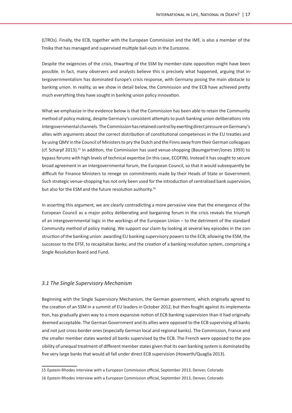(LTROs). Finally, the ECB, together with the European Commission and the IMF, is also a member of the Troika that has managed and supervised multiple bail-outs in the Eurozone.

Despite the exigencies of the crisis, thwarting of the SSM by member-state opposition might have been possible. In fact, many observers and analysts believe this is precisely what happened, arguing that intergovernmentalism has dominated Europe's crisis response, with Germany posing the main obstacle to banking union. In reality, as we show in detail below, the Commission and the ECB have achieved pretty much everything they have sought in banking union policy innovation.

What we emphasize in the evidence below is that the Commission has been able to retain the Community method of policy making, despite Germany's consistent attempts to push banking union deliberations into intergovernmental channels. The Commission has retained control by exerting direct pressure on Germany's allies with arguments about the correct distribution of constitutional competences in the EU treaties and by using QMV in the Council of Ministers to pry the Dutch and the Finns away from their German colleagues (cf. Scharpf 2013).15 In addition, the Commission has used venue-shopping (Baumgartner/Jones 1993) to bypass forums with high levels of technical expertise (in this case, ECOFIN). Instead it has sought to secure broad agreement in an intergovernmental forum, the European Council, so that it would subsequently be difficult for Finance Ministers to renege on commitments made by their Heads of State or Government. Such strategic venue-shopping has not only been used for the introduction of centralized bank supervision, but also for the ESM and the future resolution authority.<sup>16</sup>

In asserting this argument, we are clearly contradicting a more pervasive view that the emergence of the European Council as a major policy deliberating and bargaining forum in the crisis reveals the triumph of an intergovernmental logic in the workings of the European Union – to the detriment of the standard Community method of policy making. We support our claim by looking at several key episodes in the construction of the banking union: awarding EU banking supervisory powers to the ECB; allowing the ESM, the successor to the EFSF, to recapitalize banks; and the creation of a banking resolution system, comprising a Single Resolution Board and Fund.

# *3.1 The Single Supervisory Mechanism*

Beginning with the Single Supervisory Mechanism, the German government, which originally agreed to the creation of an SSM in a summit of EU leaders in October 2012, but then fought against its implementation, has gradually given way to a more expansive notion of ECB banking supervision than it had originally deemed acceptable. The German Government and its allies were opposed to the ECB supervising all banks and not just cross-border ones (especially German local and regional banks). The Commission, France and the smaller member states wanted all banks supervised by the ECB. The French were opposed to the possibility of unequal treatment of different member states given that its own banking system is dominated by five very large banks that would all fall under direct ECB supervision (Howarth/Quaglia 2013).

<sup>15</sup> Epstein-Rhodes interview with a European Commission official, September 2013, Denver, Colorado 16 Epstein-Rhodes interview with a European Commission official, September 2013, Denver, Colorado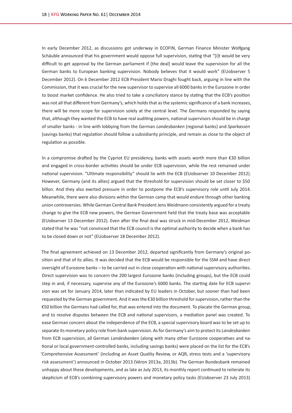In early December 2012, as discussions got underway in ECOFIN, German Finance Minister Wolfgang Schäuble announced that his government would oppose full supervision, stating that "[i]t would be very difficult to get approval by the German parliament if [the deal] would leave the supervision for all the German banks to European banking supervision. Nobody believes that it would work" (EUobserver 5 December 2012). On 6 December 2012 ECB President Mario Draghi fought back, arguing in line with the Commission, that it was crucial for the new supervisor to supervise all 6000 banks in the Eurozone in order to boost market confidence. He also tried to take a conciliatory stance by stating that the ECB's position was not all that different from Germany's, which holds that as the systemic significance of a bank increases, there will be more scope for supervision solely at the central level. The Germans responded by saying that, although they wanted the ECB to have real auditing powers, national supervisors should be in charge of smaller banks - in line with lobbying from the German *Landesbanken* (regional banks) and *Sparkassen* (savings banks) that regulation should follow a subsidiarity principle, and remain as close to the object of regulation as possible.

In a compromise drafted by the Cypriot EU presidency, banks with assets worth more than €30 billion and engaged in cross-border activities should be under ECB supervision, while the rest remained under national supervision. "Ultimate responsibility" should lie with the ECB (EUobserver 10 December 2012). However, Germany (and its allies) argued that the threshold for supervision should be set closer to \$50 billon. And they also exerted pressure in order to postpone the ECB's supervisory role until July 2014. Meanwhile, there were also divisions within the German camp that would endure through other banking union controversies. While German Central Bank President Jens Weidmann consistently argued for a treaty change to give the ECB new powers, the German Government held that the treaty base was acceptable (EUobserver 13 December 2012). Even after the final deal was struck in mid-December 2012, Weidman stated that he was "not convinced that the ECB council is the optimal authority to decide when a bank has to be closed down or not" (EUobserver 18 December 2012).

The final agreement achieved on 13 December 2012, departed significantly from Germany's original position and that of its allies. It was decided that the ECB would be responsible for the SSM and have direct oversight of Eurozone banks – to be carried out in close cooperation with national supervisory authorities. Direct supervision was to concern the 200 largest Eurozone banks (including groups), but the ECB could step in and, if necessary, supervise any of the Eurozone's 6000 banks. The starting date for ECB supervision was set for January 2014, later than indicated by EU leaders in October, but sooner than had been requested by the German government. And it was the €30 billion threshold for supervision, rather than the €50 billion the Germans had called for, that was entered into the document. To placate the German group, and to resolve disputes between the ECB and national supervisors, a mediation panel was created. To ease German concern about the independence of the ECB, a special supervisory board was to be set up to separate its monetary policy role from bank supervision. As for Germany's aim to protect its *Landesbanken*  from ECB supervision, all German *Landesbanken* (along with many other Eurozone cooperatives and national or local government-controlled banks, including savings banks) were placed on the list for the ECB's 'Comprehensive Assessment' (including an Asset Quality Review, or AQR, stress tests and a 'supervisory risk assessment') announced in October 2013 (Véron 2013a, 2013b). The German Bundesbank remained unhappy about these developments, and as late as July 2013, its monthly report continued to reiterate its skepticism of ECB's combining supervisory powers and monetary policy tasks (EUobserver 23 July 2013)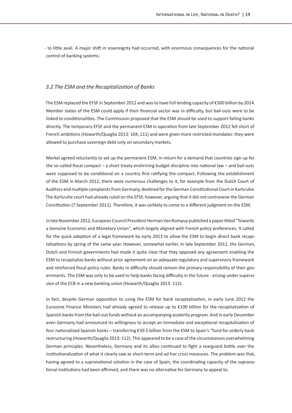- to little avail. A major shift in sovereignty had occurred, with enormous consequences for the national control of banking systems.

# *3.2 The ESM and the Recapitalization of Banks*

The ESM replaced the EFSF in September 2012 and was to have full lending capacity of €500 billion by 2014. Member states of the ESM could apply if their financial sector was in difficulty, but bail-outs were to be linked to conditionalities. The Commission proposed that the ESM should be used to support failing banks directly. The temporary EFSF and the permanent ESM in operation from late September 2012 fell short of French ambitions (Howarth/Quaglia 2013: 104, 111) and were given more restricted mandates: they were allowed to purchase sovereign debt only on secondary markets.

Merkel agreed reluctantly to set up the permanent ESM, in return for a demand that countries sign up for the so-called fiscal compact – a short treaty enshrining budget discipline into national law – and bail outs were supposed to be conditional on a country first ratifying the compact. Following the establishment of the ESM in March 2012, there were numerous challenges to it, for example from the Dutch Court of Auditors and multiple complaints from Germany, destined for the German Constitutional Court in Karlsruhe. The Karlsruhe court had already ruled on the EFSF, however, arguing that it did not contravene the German Constitution (7 September 2011). Therefore, it was unlikely to come to a different judgment on the ESM.

In late November 2012, European Council President Herman Van Rompuy published a paper titled "Towards a Genuine Economic and Monetary Union", which largely aligned with French policy preferences. It called for the quick adoption of a legal framework by early 2013 to allow the ESM to begin direct bank recapitalizations by spring of the same year. However, somewhat earlier, in late September 2012, the German, Dutch and Finnish governments had made it quite clear that they opposed any agreement enabling the ESM to recapitalize banks without prior agreement on an adequate regulatory and supervisory framework and reinforced fiscal policy rules. Banks in difficulty should remain the primary responsibility of their governments. The ESM was only to be used to help banks facing difficulty in the future - arising under supervision of the ECB in a new banking union (Howarth/Quaglia 2013: 112).

In fact, despite German opposition to using the ESM for bank recapitalization, in early June 2012 the Eurozone Finance Ministers had already agreed to release up to €100 billion for the recapitalization of Spanish banks from the bail-out funds without an accompanying austerity program. And in early December even Germany had announced its willingness to accept an immediate and exceptional recapitalization of four nationalized Spanish banks – transferring €39.5 billion from the ESM to Spain's "fund for orderly bank restructuring (Howarth/Quaglia 2013: 112). This appeared to be a case of the circumstances overwhelming German principles. Nevertheless, Germany and its allies continued to fight a rearguard battle over the institutionalization of what it clearly saw as short-term and ad hoc crisis measures. The problem was that, having agreed to a supranational solution in the case of Spain, the coordinating capacity of the supranational institutions had been affirmed, and there was no alternative for Germany to appeal to.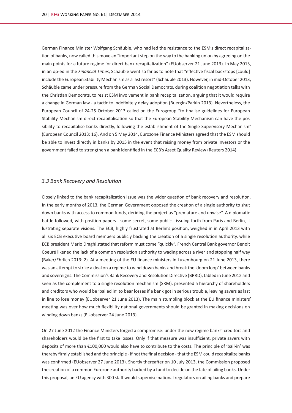German Finance Minister Wolfgang Schäuble, who had led the resistance to the ESM's direct recapitalization of banks, now called this move an "important step on the way to the banking union by agreeing on the main points for a future regime for direct bank recapitalization" (EUobserver 21 June 2013). In May 2013, in an op-ed in the *Financial Times*, Schäuble went so far as to note that "effective fiscal backstops [could] include the European Stability Mechanism as a last resort" (Schäuble 2013). However, in mid-October 2013, Schäuble came under pressure from the German Social Democrats, during coalition negotiation talks with the Christian Democrats, to resist ESM involvement in bank recapitalization, arguing that it would require a change in German law - a tactic to indefinitely delay adoption (Buergin/Parkin 2013). Nevertheless, the European Council of 24-25 October 2013 called on the Eurogroup "to finalise guidelines for European Stability Mechanism direct recapitalisation so that the European Stability Mechanism can have the possibility to recapitalise banks directly, following the establishment of the Single Supervisory Mechanism" (European Council 2013: 16). And on 5 May 2014, Eurozone Finance Ministers agreed that the ESM should be able to invest directly in banks by 2015 in the event that raising money from private investors or the government failed to strengthen a bank identified in the ECB's Asset Quality Review (Reuters 2014).

# *3.3 Bank Recovery and Resolution*

Closely linked to the bank recapitalization issue was the wider question of bank recovery and resolution. In the early months of 2013, the German Government opposed the creation of a single authority to shut down banks with access to common funds, deriding the project as "premature and unwise". A diplomatic battle followed, with position papers - some secret, some public - issuing forth from Paris and Berlin, illustrating separate visions. The ECB, highly frustrated at Berlin's position, weighed in in April 2013 with all six ECB executive board members publicly backing the creation of a single resolution authority, while ECB president Mario Draghi stated that reform must come "quickly". French Central Bank governor Benoit Coeuré likened the lack of a common resolution authority to wading across a river and stopping half way (Baker/Ehrlich 2013: 2). At a meeting of the EU finance ministers in Luxembourg on 21 June 2013, there was an attempt to strike a deal on a regime to wind down banks and break the 'doom loop' between banks and sovereigns. The Commission's Bank Recovery and Resolution Directive (BRRD), tabled in June 2012 and seen as the complement to a single resolution mechanism (SRM), presented a hierarchy of shareholders and creditors who would be 'bailed in' to bear losses if a bank got in serious trouble, leaving savers as last in line to lose money (EUobserver 21 June 2013). The main stumbling block at the EU finance ministers' meeting was over how much flexibility national governments should be granted in making decisions on winding down banks (EUobserver 24 June 2013).

On 27 June 2012 the Finance Ministers forged a compromise: under the new regime banks' creditors and shareholders would be the first to take losses. Only if that measure was insufficient, private savers with deposits of more than €100,000 would also have to contribute to the costs. The principle of 'bail-in' was thereby firmly established and the principle - if not the final decision - that the ESM could recapitalize banks was confirmed (EUobserver 27 June 2013). Shortly thereafter on 10 July 2013, the Commission proposed the creation of a common Eurozone authority backed by a fund to decide on the fate of ailing banks. Under this proposal, an EU agency with 300 staff would supervise national regulators on ailing banks and prepare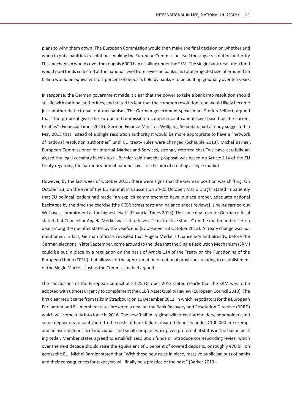plans to wind them down. The European Commission would then make the final decision on whether and when to put a bank into resolution – making the European Commission itself the single resolution authority. This mechanism would cover the roughly 6000 banks falling under the SSM. The single bank resolution fund would pool funds collected at the national level from levies on banks. Its total projected size of around €55 billion would be equivalent to 1 percent of deposits held by banks – to be built up gradually over ten years.

In response, the German government made it clear that the power to take a bank into resolution should still lie with national authorities, and stated its fear that the common resolution fund would likely become just another de facto bail out mechanism. The German government spokesman, Steffen Seibert, argued that "the proposal gives the European Commission a competence it cannot have based on the current treaties" (Financial Times 2013). German Finance Minister, Wolfgang Schäuble, had already suggested in May 2013 that instead of a single resolution authority it would be more appropriate to have a "network of national resolution authorities" until EU treaty rules were changed (Schäuble 2013). Michel Barnier, European Commissioner for Internal Market and Services, strongly retorted that "we have carefully analyzed the legal certainty in this text". Barnier said that the proposal was based on Article 114 of the EU Treaty regarding the harmonization of national laws for the aim of creating a single market.

However, by the last week of October 2013, there were signs that the German position was shifting. On October 23, on the eve of the EU summit in Brussels on 24-25 October, Mario Draghi stated impatiently that EU political leaders had made "an explicit commitment to have in place proper, adequate national backstops by the time the exercise [the ECB's stress tests and balance sheet reviews] is being carried out. We have a commitment at the highest level." (Financial Times 2013). The same day, a senior German official stated that Chancellor Angela Merkel was set to have a "constructive stance" on the matter and to seek a deal among the member states by the year's end (EUobserver 23 October 2013). A treaty change was not mentioned. In fact, German officials revealed that Angela Merkel's Chancellery had already, before the German elections in late September, come around to the idea that the Single Resolution Mechanism (SRM) could be put in place by a regulation on the basis of Article 114 of the Treaty on the Functioning of the European Union (TFEU) that allows for the approximation of national provisions relating to establishment of the Single Market - just as the Commission had argued.

The conclusions of the European Council of 24-25 October 2013 stated clearly that the SRM was to be adopted with utmost urgency to complement the ECB's Asset Quality Review (European Council 2013). The first clear result came from talks in Strasbourg on 11 December 2013, in which negotiators for the European Parliament and EU member states brokered a deal on the Bank Recovery and Resolution Directive (BRRD) which will come fully into force in 2016. The new 'bail-in' regime will force shareholders, bondholders and some depositors to contribute to the costs of bank failure: insured deposits under €100,000 are exempt and uninsured deposits of individuals and small companies are given preferential status in the bail-in pecking order. Member states agreed to establish resolution funds or introduce corresponding levies, which over the next decade should raise the equivalent of 1 percent of covered deposits, or roughly €70 billion across the EU. Michel Barnier stated that "With these new rules in place, massive public bailouts of banks and their consequences for taxpayers will finally be a practice of the past." (Barker 2013).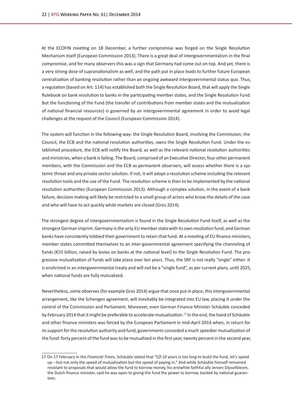At the ECOFIN meeting on 18 December, a further compromise was forged on the Single Resolution Mechanism itself (European Commission 2013). There is a great deal of intergovernmentalism in the final compromise, and for many observers this was a sign that Germany had come out on top. And yet, there is a very strong dose of supranationalism as well, and the path put in place leads to further future European centralization of banking resolution rather than an ongoing awkward intergovernmental status quo. Thus, a regulation (based on Art. 114) has established both the Single Resolution Board, that will apply the Single Rulebook on bank resolution to banks in the participating member states, and the Single Resolution Fund. But the functioning of the Fund (the transfer of contributions from member states and the mutualization of national financial resources) is governed by an intergovernmental agreement in order to avoid legal challenges at the request of the Council (European Commission 2014).

The system will function in the following way: the Single Resolution Board, involving the Commission, the Council, the ECB and the national resolution authorities, owns the Single Resolution Fund. Under the established procedure, the ECB will notify the Board, as well as the relevant national resolution authorities and ministries, when a bank is failing. The Board, comprised of an Executive Director, four other permanent members, with the Commission and the ECB as permanent observers, will assess whether there is a systemic threat and any private sector solution. If not, it will adopt a resolution scheme including the relevant resolution tools and the use of the Fund. The resolution scheme is then to be implemented by the national resolution authorities (European Commission 2013). Although a complex solution, in the event of a bank failure, decision making will likely be restricted to a small group of actors who know the details of the case and who will have to act quickly while markets are closed (Gros 2014).

The strongest degree of intergovernmentalism is found in the Single Resolution Fund itself, as well as the strongest German imprint. Germany is the only EU member state with its own resolution fund, and German banks have consistently lobbied their government to retain that fund. At a meeting of EU finance ministers, member states committed themselves to an inter-governmental agreement specifying the channeling of funds (€55 billion, raised by levies on banks at the national level) to the Single Resolution Fund. The progressive mutualisation of funds will take place over ten years. Thus, the SRF is not really "single" either: it is enshrined in an intergovernmental treaty and will not be a "single fund", as per current plans, until 2025, when national funds are fully mutualized.

Nevertheless, some observes (for example Gros 2014) argue that once put in place, this intergovernmental arrangement, like the Schengen agreement, will inevitably be integrated into EU law, placing it under the control of the Commission and Parliament. Moreover, even German Finance Minister Schäuble conceded by February 2014 that it might be preferable to accelerate mutualization.<sup>17</sup> In the end, the hand of Schäuble and other finance ministers was forced by the European Parliament in mid-April 2014 when, in return for its support for the resolution authority and fund, governments conceded a much speedier mutualization of the fund: forty percent of the fund was to be mutualized in the first year, twenty percent in the second year,

<sup>17</sup> On 17 February in the *Financial Times*, Schäuble stated that "[i]f 10 years is too long to build the fund, let's speed up – but not only the speed of mutualisation but the speed of paying in." And while Schäuble himself remained resistant to proposals that would allow the fund to borrow money, his erstwhile faithful ally Jeroen Dijsselbleom, the Dutch finance minister, said he was open to giving the fund the power to borrow, backed by national guarantees.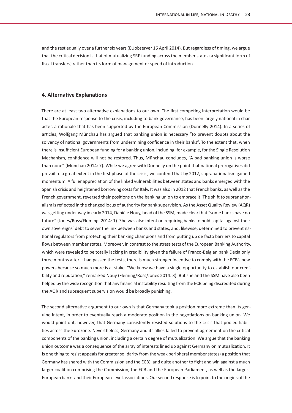and the rest equally over a further six years (EUobserver 16 April 2014). But regardless of timing, we argue that the critical decision is that of mutualizing SRF funding across the member states (a significant form of fiscal transfers) rather than its form of management or speed of introduction.

### **4. Alternative Explanations**

There are at least two alternative explanations to our own. The first competing interpretation would be that the European response to the crisis, including to bank governance, has been largely national in character, a rationale that has been supported by the European Commission (Donnelly 2014). In a series of articles, Wolfgang Münchau has argued that banking union is necessary "to prevent doubts about the solvency of national governments from undermining confidence in their banks". To the extent that, when there is insufficient European funding for a banking union, including, for example, for the Single Resolution Mechanism, confidence will not be restored. Thus, Münchau concludes, "A bad banking union is worse than none" (Münchau 2014: 7). While we agree with Donnelly on the point that national prerogatives did prevail to a great extent in the first phase of the crisis, we contend that by 2012, supranationalism gained momentum. A fuller appreciation of the linked vulnerabilities between states and banks emerged with the Spanish crisis and heightened borrowing costs for Italy. It was also in 2012 that French banks, as well as the French government, reversed their positions on the banking union to embrace it. The shift to supranationalism is reflected in the changed locus of authority for bank supervision. As the Asset Quality Review (AQR) was getting under way in early 2014, Danièle Nouy, head of the SSM, made clear that "some banks have no future" (Jones/Ross/Fleming, 2014: 1). She was also intent on requiring banks to hold capital against their own sovereigns' debt to sever the link between banks and states, and, likewise, determined to prevent national regulators from protecting their banking champions and from putting up de facto barriers to capital flows between member states. Moreover, in contrast to the stress tests of the European Banking Authority, which were revealed to be totally lacking in credibility given the failure of Franco-Belgian bank Dexia only three months after it had passed the tests, there is much stronger incentive to comply with the ECB's new powers because so much more is at stake. "We know we have a single opportunity to establish our credibility and reputation," remarked Nouy (Fleming/Ross/Jones 2014: 3). But she and the SSM have also been helped by the wide recognition that any financial instability resulting from the ECB being discredited during the AQR and subsequent supervision would be broadly punishing.

The second alternative argument to our own is that Germany took a position more extreme than its genuine intent, in order to eventually reach a moderate position in the negotiations on banking union. We would point out, however, that Germany consistently resisted solutions to the crisis that pooled liabilities across the Eurozone. Nevertheless, Germany and its allies failed to prevent agreement on the critical components of the banking union, including a certain degree of mutualization. We argue that the banking union outcome was a consequence of the array of interests lined up against Germany on mutualization. It is one thing to resist appeals for greater solidarity from the weak peripheral member states (a position that Germany has shared with the Commission and the ECB), and quite another to fight and win against a much larger coalition comprising the Commission, the ECB and the European Parliament, as well as the largest European banks and their European-level associations. Our second response is to point to the origins of the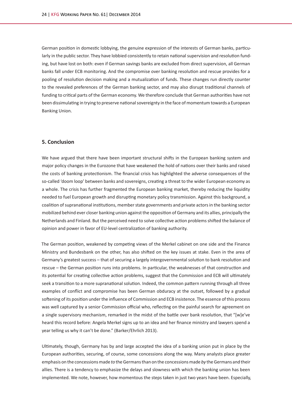German position in domestic lobbying, the genuine expression of the interests of German banks, particularly in the public sector. They have lobbied consistently to retain national supervision and resolution funding, but have lost on both: even if German savings banks are excluded from direct supervision, all German banks fall under ECB monitoring. And the compromise over banking resolution and rescue provides for a pooling of resolution decision making and a mutualization of funds. These changes run directly counter to the revealed preferences of the German banking sector, and may also disrupt traditional channels of funding to critical parts of the German economy. We therefore conclude that German authorities have not been dissimulating in trying to preserve national sovereignty in the face of momentum towards a European Banking Union.

# **5. Conclusion**

We have argued that there have been important structural shifts in the European banking system and major policy changes in the Eurozone that have weakened the hold of nations over their banks and raised the costs of banking protectionism. The financial crisis has highlighted the adverse consequences of the so-called 'doom loop' between banks and sovereigns, creating a threat to the wider European economy as a whole. The crisis has further fragmented the European banking market, thereby reducing the liquidity needed to fuel European growth and disrupting monetary policy transmission. Against this background, a coalition of supranational institutions, member state governments and private actors in the banking sector mobilized behind ever closer banking union against the opposition of Germany and its allies, principally the Netherlands and Finland. But the perceived need to solve collective action problems shifted the balance of opinion and power in favor of EU-level centralization of banking authority.

The German position, weakened by competing views of the Merkel cabinet on one side and the Finance Ministry and Bundesbank on the other, has also shifted on the key issues at stake. Even in the area of Germany's greatest success – that of securing a largely intergovernmental solution to bank resolution and rescue – the German position runs into problems. In particular, the weaknesses of that construction and its potential for creating collective action problems, suggest that the Commission and ECB will ultimately seek a transition to a more supranational solution. Indeed, the common pattern running through all three examples of conflict and compromise has been German obduracy at the outset, followed by a gradual softening of its position under the influence of Commission and ECB insistence. The essence of this process was well captured by a senior Commission official who, reflecting on the painful search for agreement on a single supervisory mechanism, remarked in the midst of the battle over bank resolution, that "[w]e've heard this record before: Angela Merkel signs up to an idea and her finance ministry and lawyers spend a year telling us why it can't be done." (Barker/Ehrlich 2013).

Ultimately, though, Germany has by and large accepted the idea of a banking union put in place by the European authorities, securing, of course, some concessions along the way. Many analysts place greater emphasis on the concessions made *to* the Germans than on the concessions made *by* the Germans and their allies. There is a tendency to emphasize the delays and slowness with which the banking union has been implemented. We note, however, how momentous the steps taken in just two years have been. Especially,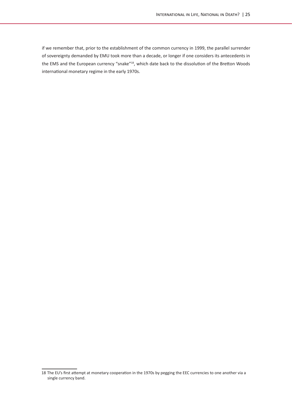if we remember that, prior to the establishment of the common currency in 1999, the parallel surrender of sovereignty demanded by EMU took more than a decade, or longer if one considers its antecedents in the EMS and the European currency "snake"18, which date back to the dissolution of the Bretton Woods international monetary regime in the early 1970s.

<sup>18</sup> The EU's first attempt at monetary cooperation in the 1970s by pegging the EEC currencies to one another via a single currency band.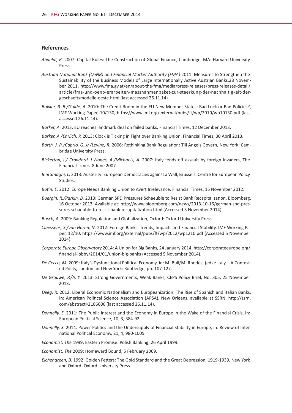# **References**

- *Abdelal, R.* 2007: Capital Rules: The Construction of Global Finance, Cambridge, MA: Harvard University Press.
- *Austrian National Bank (OeNB) and Financial Market Authority (FMA)* 2011: Measures to Strengthen the Sustainability of the Business Models of Large Internationally Active Austrian Banks,28 November 2011, http://www.fma.gv.at/en/about-the-fma/media/press-releases/press-releases-detail/ article/fma-und-oenb-erarbeiten-massnahmenpaket-zur-staerkung-der-nachhaltigkeit-dergeschaeftsmodelle-oeste.html (last accessed 26.11.14).
- *Bakker, B. B./Gulde, A.* 2010: The Credit Boom in the EU New Member States: Bad Luck or Bad Policies?, IMF Working Paper, 10/130, https://www.imf.org/external/pubs/ft/wp/2010/wp10130.pdf (last accessed 26.11.14).
- *Barker, A.* 2013: EU reaches landmark deal on failed banks, Financial Times, 12 December 2013.
- *Barker, A./Ehrlich, P.* 2013: Clock is Ticking in Fight over Banking Union, Financial Times, 30 April 2013.
- *Barth, J. R./Caprio, G. Jr./Levine, R.* 2006: Rethinking Bank Regulation: Till Angels Govern, New York: Cambridge University Press.
- *Bickerton, I./ Crawford, L./Jones, A./Michaels, A.* 2007: Italy fends off assault by foreign invaders, The Financial Times, 8 June 2007.
- *Bini Smaghi, L.* 2013: Austerity: European Democracies against a Wall, Brussels: Centre for European Policy Studies.
- *Botin, E.* 2012: Europe Needs Banking Union to Avert Irrelevance, Financial Times, 15 November 2012.
- *Buergin, R./Parkin, B.* 2013: German SPD Pressures Schaeuble to Resist Bank Recapitalization, Bloomberg, 16 October 2013. Available at: http://www.bloomberg.com/news/2013-10-16/german-spd-pressures-schaeuble-to-resist-bank-recapitalization.html (Accessed 5 November 2014).
- *Busch, A*. 2009: Banking Regulation and Globalization, Oxford: Oxford University Press.
- *Claessens, S./van Horen, N.* 2012: Foreign Banks: Trends, Impacts and Financial Stability, IMF Working Paper, 12/10, https://www.imf.org/external/pubs/ft/wp/2012/wp1210.pdf (Accessed 5 November 2014).
- *Corporate Europe Observatory* 2014: A Union for Big Banks, 24 January 2014, http://corporateeurope.org/ financial-lobby/2014/01/union-big-banks (Accessed 5 November 2014).
- *De Cecco, M.* 2009: Italy's Dysfunctional Political Economy, in: M. Bull/M. Rhodes, (eds): Italy A Contested Polity, London and New York: Routledge, pp. 107-127.
- *De Grauwe, P./Ji, Y.* 2013: Strong Governments, Weak Banks, CEPS Policy Brief, No. 305, 25 November 2013.
- *Deeg, R.* 2012: Liberal Economic Nationalism and Europeanization: The Rise of Spanish and Italian Banks, in: American Political Science Association (APSA), New Orleans, available at SSRN: http://ssrn. com/abstract=2106606 (last accessed 26.11.14).
- *Donnelly, S.* 2011: The Public Interest and the Economy in Europe in the Wake of the Financial Crisis, in: European Political Science, 10, 3, 384-92.
- *Donnelly, S.* 2014: Power Politics and the Undersupply of Financial Stability in Europe, in: Review of International Political Economy, 21, 4, 980-1005.
- *Economist, The* 1999: Eastern Promise: Polish Banking, 26 April 1999.
- *Economist, The* 2009: Homeward Bound, 5 February 2009.
- *Eichengreen, B.* 1992: Golden Fetters: The Gold Standard and the Great Depression, 1919-1939, New York and Oxford: Oxford University Press.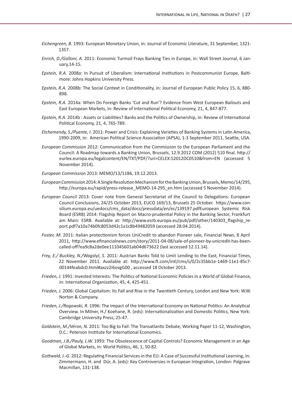- *Eichengreen, B.* 1993: European Monetary Union, in: Journal of Economic Literature, 31 September, 1321- 1357.
- *Enrich, D./Galloni, A.* 2011: Economic Turmoil Frays Banking Ties in Europe, in: Wall Street Journal, 6 January,14-15.
- *Epstein, R.A.* 2008a: In Pursuit of Liberalism: International Institutions in Postcommunist Europe, Baltimore: Johns Hopkins University Press.
- *Epstein, R.A.* 2008b: The Social Context in Conditionality, in: Journal of European Public Policy 15, 6, 880- 898.
- *Epstein, R.A.* 2014a: When Do Foreign Banks 'Cut and Run'? Evidence from West European Bailouts and East European Markets, in: Review of International Political Economy, 21, 4, 847-877.
- *Epstein, R.A.* 2014b : Assets or Liabilities? Banks and the Politics of Ownership, in: Review of International Political Economy, 21, 4, 765-789.
- *Etchemendy, S./Puente, I.* 2011: Power and Crisis: Explaining Varieties of Banking Systems in Latin America, 1990-2009, in: American Political Science Association (APSA), 1-3 September 2011, Seattle, USA.
- *European Commission* 2012: Communication from the Commission to the European Parliament and the Council: A Roadmap towards a Banking Union, Brussels, 12.9.2012 COM (2012) 510 final. http:// eurlex.europa.eu/legalcontent/EN/TXT/PDF/?uri=CELEX:52012DC0510&from=EN (accessed 5 November 2014).
- *European Commission* 2013: MEMO/13/1186, 19.12.2013.
- *European Commission* 2014: A Single Resolution Mechanism for the Banking Union, Brussels, Memo/14/295, http://europa.eu/rapid/press-release\_MEMO-14-295\_en.htm (accessed 5 November 2014).
- *European Council* 2013: Cover note from General Secretariat of the Council to Delegations: European Council Conclusions, 24/25 October 2013, EUCO 169/13, Brussels 25 October. https://www.consilium.europa.eu/uedocs/cms\_data/docs/pressdata/en/ec/139197.pdfEuropean Systemic Risk Board (ESRB) 2014: Flagship Report on Macro-prudential Policy in the Banking Sector, Frankfurt am Main: ESRB. Available at: http://www.esrb.europa.eu/pub/pdf/other/140303\_flagship\_report.pdf?a10a74b0fc8053d42c1a1c8b49482059 (accessed 28.04.2014).
- *Foster, M.* 2011: Italian protectionism forces UniCredit to abandon Pioneer sale, Financial News, 8 April 2011, http://www.efinancialnews.com/story/2011-04-08/sale-of-pioneer-by-unicredit-has-beencalled-off?ea9c8a2de0ee111045601ab04d673622 (last accessed 12.11.14).
- *Frey, E./ Buckley, N./Wagstyl, S.* 2011: Austrian Banks Told to Limit Lending to the East, Financial Times, 22 November 2011. Available at: http://www.ft.com/intl/cms/s/0/2c35bb1e-1469-11e1-85c7- 00144feabdc0.html#axzz2i6ovgG00 , accessed 18 October 2013.
- *Frieden, J.* 1991: Invested Interests: The Politics of National Economic Policies in a World of Global Finance, in: International Organization, 45, 4, 425-451.
- *Frieden, J.* 2006: Global Capitalism: Its Fall and Rise in the Twentieth Century, London and New York: W.W. Norton & Company.
- *Frieden, J./Rogowski, R.* 1996: The Impact of the International Economy on National Politics: An Analytical Overview. In Milner, H./ Koehane, R. (eds): Internationalization and Domestic Politics, New York: Cambridge University Press, 25-47.
- *Goldstein, M./Véron, N.* 2011: Too Big to Fail: The Transatlantic Debate, Working Paper 11-12, Washington, D.C.: Peterson Institute for International Economics.
- *Goodman, J.B./Pauly, L.W.* 1993: The Obsolescence of Capital Controls? Economic Management in an Age of Global Markets, in: World Politics, 46, 1, 50-82.
- *Gottwald, J.-G*. 2012: Regulating Financial Services in the EU: A Case of Successful Institutional Learning, in: Zimmermann, H. and Dür, A. (eds): Key Controversies in European Integration, London: Palgrave Macmillan, 131-138.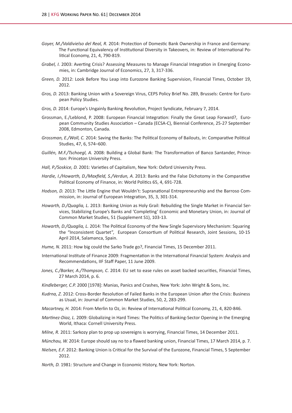- *Goyer, M./Valdivielso del Real, R.* 2014: Protection of Domestic Bank Ownership in France and Germany: The Functional Equivalency of Institutional Diversity in Takeovers, in: Review of International Political Economy, 21, 4, 790-819.
- *Grabel, I.* 2003: Averting Crisis? Assessing Measures to Manage Financial Integration in Emerging Economies, in: Cambridge Journal of Economics, 27, 3, 317-336.
- *Green, D.* 2012: Look Before You Leap into Eurozone Banking Supervision, Financial Times, October 19, 2012.
- *Gros, D.* 2013: Banking Union with a Sovereign Virus, CEPS Policy Brief No. 289, Brussels: Centre for European Policy Studies.
- *Gros, D.* 2014: Europe's Ungainly Banking Revolution, Project Syndicate, February 7, 2014.
- Grossman, E./Leblond, P. 2008: European Financial Integration: Finally the Great Leap Forward?, European Community Studies Association – Canada (ECSA-C), Biennial Conference, 25-27 September 2008, Edmonton, Canada.
- *Grossman, E./Woll, C.* 2014: Saving the Banks: The Political Economy of Bailouts, in: Comparative Political Studies, 47, 6, 574–600.
- *Guillén, M.F./Tschoegl, A.* 2008: Building a Global Bank: The Transformation of Banco Santander, Princeton: Princeton University Press.
- *Hall, P./Soskice, D.* 2001: Varieties of Capitalism, New York: Oxford University Press.
- *Hardie, I./Howarth, D./Maxfield, S./Verdun, A.* 2013: Banks and the False Dichotomy in the Comparative Political Economy of Finance, in: World Politics 65, 4, 691-728.
- *Hodson, D.* 2013: The Little Engine that Wouldn't: Supranational Entrepreneurship and the Barroso Commission, in: Journal of European Integration, 35, 3, 301-314.
- *Howarth, D./Quaglia, L.* 2013: Banking Union as Holy Grail: Rebuilding the Single Market in Financial Services, Stabilizing Europe's Banks and 'Completing' Economic and Monetary Union, in: Journal of Common Market Studies, 51 (Supplement S1), 103-13.
- *Howarth, D./Quaglia, L.* 2014: The Political Economy of the New Single Supervisory Mechanism: Squaring the "Inconsistent Quartet", European Consortium of Political Research, Joint Sessions, 10-15 April 2014, Salamanca, Spain.
- *Hume, N.* 2011: How big could the Sarko Trade go?, Financial Times, 15 December 2011.
- International Institute of Finance 2009: Fragmentation in the International Financial System: Analysis and Recommendations, IIF Staff Paper, 11 June 2009.
- *Jones, C./Barker, A./Thompson, C.* 2014: EU set to ease rules on asset backed securities, Financial Times, 27 March 2014, p. 6.
- *Kindleberger, C.P.* 2000 [1978]: Manias, Panics and Crashes, New York: John Wright & Sons, Inc.
- *Kudrna, Z.* 2012: Cross-Border Resolution of Failed Banks in the European Union after the Crisis: Business as Usual, in: Journal of Common Market Studies, 50, 2, 283-299.
- *Macartney, H.* 2014: From Merlin to Oz, in: Review of International Political Economy, 21, 4, 820-846.
- *Martinez-Diaz, L.* 2009: Globalizing in Hard Times: The Politics of Banking-Sector Opening in the Emerging World, Ithaca: Cornell University Press.
- *Milne, R.* 2011: Sarkozy plan to prop up sovereigns is worrying, Financial Times, 14 December 2011.
- *Münchau, W.* 2014: Europe should say no to a flawed banking union, Financial Times, 17 March 2014, p. 7.
- *Nielsen, E.F.* 2012: Banking Union is Critical for the Survival of the Eurozone, Financial Times, 5 September 2012.
- *North, D.* 1981: Structure and Change in Economic History, New York: Norton.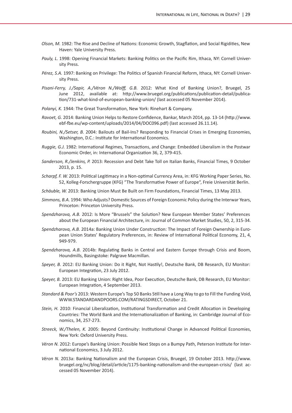- *Olson, M.* 1982: The Rise and Decline of Nations: Economic Growth, Stagflation, and Social Rigidities, New Haven: Yale University Press.
- Pauly, L. 1998: Opening Financial Markets: Banking Politics on the Pacific Rim, Ithaca, NY: Cornell University Press.
- *Pérez, S.A.* 1997: Banking on Privilege: The Politics of Spanish Financial Reform, Ithaca, NY: Cornell University Press.
- *Pisani-Ferry, J./Sapir, A./Véron N./Wolff, G.B.* 2012: What Kind of Banking Union?, Bruegel, 25 June 2012, available at: http://www.bruegel.org/publications/publication-detail/publication/731-what-kind-of-european-banking-union/ (last accessed 05 November 2014).
- *Polanyi, K.* 1944: The Great Transformation, New York: Rinehart & Company.
- *Ravoet, G.* 2014: Banking Union Helps to Restore Confidence, Bankar, March 2014, pp. 13-14 (http://www. ebf-fbe.eu/wp-content/uploads/2014/04/DOC096.pdf) (last accessed 26.11.14).
- *Roubini, N./Setser, B.* 2004: Bailouts of Bail-Ins? Responding to Financial Crises in Emerging Economies, Washington, D.C.: Institute for International Economics.
- *Ruggie, G.J.* 1982: International Regimes, Transactions, and Change: Embedded Liberalism in the Postwar Economic Order, in: International Organization 36, 2, 379-415.
- *Sanderson, R./Jenkins, P.* 2013: Recession and Debt Take Toll on Italian Banks, Financial Times, 9 October 2013, p. 15.
- *Scharpf, F. W.* 2013: Political Legitimacy in a Non-optimal Currency Area, in: KFG Working Paper Series, No. 52, Kolleg-Forschergruppe (KFG) "The Transformative Power of Europe", Freie Universität Berlin.
- *Schäuble, W.* 2013: Banking Union Must Be Built on Firm Foundations, Financial Times, 13 May 2013.
- *Simmons, B.A.* 1994: Who Adjusts? Domestic Sources of Foreign Economic Policy during the Interwar Years, Princeton: Princeton University Press.
- *Spendzharova, A.B.* 2012: Is More "Brussels" the Solution? New European Member States' Preferences about the European Financial Architecture, in: Journal of Common Market Studies, 50, 2, 315-34.
- *Spendzharova, A.B.* 2014a: Banking Union Under Construction: The Impact of Foreign Ownership in European Union States' Regulatory Preferences, in: Review of International Political Economy, 21, 4, 949-979.
- *Spendzharova, A.B.* 2014b: Regulating Banks in Central and Eastern Europe through Crisis and Boom, Houndmills, Basingstoke: Palgrave Macmillan.
- *Speyer, B.* 2012: EU Banking Union: Do it Right, Not Hastily!, Deutsche Bank, DB Research, EU Monitor: European Integration, 23 July 2012.
- *Speyer, B.* 2013: EU Banking Union: Right Idea, Poor Execution, Deutsche Bank, DB Research, EU Monitor: European Integration, 4 September 2013.
- *Standard & Poor's* 2013: Western Europe's Top 50 Banks Still have a Long Way to go to Fill the Funding Void, WWW.STANDARDANDPOORS.COM/RATINGSDIRECT, October 21.
- *Stein, H.* 2010: Financial Liberalization, Institutional Transformation and Credit Allocation in Developing Countries: The World Bank and the Internationalization of Banking, in: Cambridge Journal of Economics, 34, 257-273.
- *Streeck, W./Thelen, K.* 2005: Beyond Continuity: Institutional Change in Advanced Political Economies, New York: Oxford University Press.
- *Véron N.* 2012: Europe's Banking Union: Possible Next Steps on a Bumpy Path, Peterson Institute for International Economics, 3 July 2012.
- *Véron N.* 2013a: Banking Nationalism and the European Crisis, Bruegel, 19 October 2013. http://www. bruegel.org/nc/blog/detail/article/1175-banking-nationalism-and-the-european-crisis/ (last accessed 05 November 2014).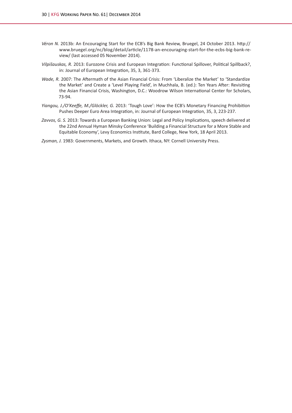- *Véron N.* 2013b: An Encouraging Start for the ECB's Big Bank Review, Bruegel, 24 October 2013. http:// www.bruegel.org/nc/blog/detail/article/1178-an-encouraging-start-for-the-ecbs-big-bank-review/ (last accessed 05 November 2014).
- *Vilpišauskas, R.* 2013: Eurozone Crisis and European Integration: Functional Spillover, Political Spillback?, in: Journal of European Integration, 35, 3, 361-373.
- *Wade, R.* 2007: The Aftermath of the Asian Financial Crisis: From 'Liberalize the Market' to 'Standardize the Market' and Create a 'Level Playing Field', in Muchhala, B. (ed.): Ten Years After: Revisiting the Asian Financial Crisis, Washington, D.C.: Woodrow Wilson International Center for Scholars, 73-94.
- *Yiangou, J./O'Keeffe, M./Glöckler, G.* 2013: 'Tough Love': How the ECB's Monetary Financing Prohibition Pushes Deeper Euro Area Integration, in: Journal of European Integration, 35, 3, 223-237.
- *Zavvos, G. S.* 2013: Towards a European Banking Union: Legal and Policy Implications, speech delivered at the 22nd Annual Hyman Minsky Conference 'Building a Financial Structure for a More Stable and Equitable Economy', Levy Economics Institute, Bard College, New York, 18 April 2013.
- *Zysman, J.* 1983: Governments, Markets, and Growth. Ithaca, NY: Cornell University Press.